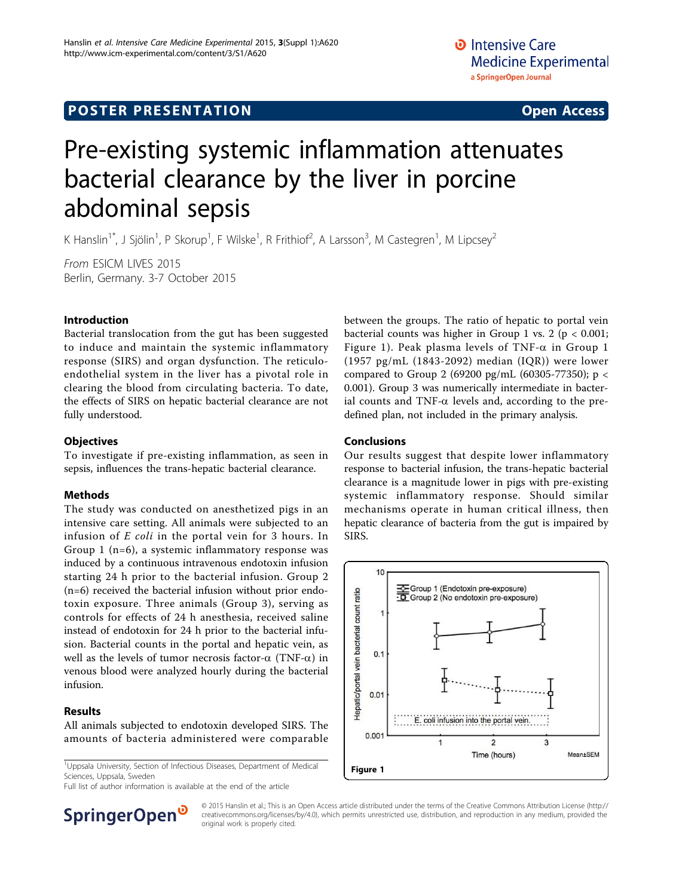## **POSTER PRESENTATION CONSUMING ACCESS**

# Pre-existing systemic inflammation attenuates bacterial clearance by the liver in porcine abdominal sepsis

K Hanslin<sup>1\*</sup>, J Sjölin<sup>1</sup>, P Skorup<sup>1</sup>, F Wilske<sup>1</sup>, R Frithiof<sup>2</sup>, A Larsson<sup>3</sup>, M Castegren<sup>1</sup>, M Lipcsey<sup>2</sup>

From ESICM LIVES 2015 Berlin, Germany. 3-7 October 2015

#### Introduction

Bacterial translocation from the gut has been suggested to induce and maintain the systemic inflammatory response (SIRS) and organ dysfunction. The reticuloendothelial system in the liver has a pivotal role in clearing the blood from circulating bacteria. To date, the effects of SIRS on hepatic bacterial clearance are not fully understood.

#### **Objectives**

To investigate if pre-existing inflammation, as seen in sepsis, influences the trans-hepatic bacterial clearance.

#### Methods

The study was conducted on anesthetized pigs in an intensive care setting. All animals were subjected to an infusion of E coli in the portal vein for 3 hours. In Group 1 (n=6), a systemic inflammatory response was induced by a continuous intravenous endotoxin infusion starting 24 h prior to the bacterial infusion. Group 2 (n=6) received the bacterial infusion without prior endotoxin exposure. Three animals (Group 3), serving as controls for effects of 24 h anesthesia, received saline instead of endotoxin for 24 h prior to the bacterial infusion. Bacterial counts in the portal and hepatic vein, as well as the levels of tumor necrosis factor- $\alpha$  (TNF- $\alpha$ ) in venous blood were analyzed hourly during the bacterial infusion.

#### Results

All animals subjected to endotoxin developed SIRS. The amounts of bacteria administered were comparable

<sup>1</sup>Uppsala University, Section of Infectious Diseases, Department of Medical Sciences, Uppsala, Sweden

Full list of author information is available at the end of the article



#### Conclusions

Our results suggest that despite lower inflammatory response to bacterial infusion, the trans-hepatic bacterial clearance is a magnitude lower in pigs with pre-existing systemic inflammatory response. Should similar mechanisms operate in human critical illness, then hepatic clearance of bacteria from the gut is impaired by SIRS.





© 2015 Hanslin et al.; This is an Open Access article distributed under the terms of the Creative Commons Attribution License [\(http://](http://creativecommons.org/licenses/by/4.0) [creativecommons.org/licenses/by/4.0](http://creativecommons.org/licenses/by/4.0)), which permits unrestricted use, distribution, and reproduction in any medium, provided the original work is properly cited.